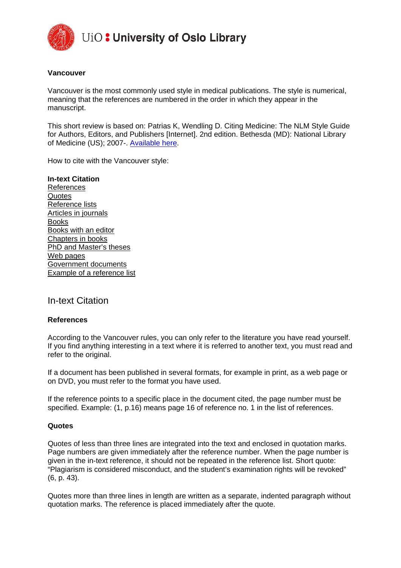

UiO: University of Oslo Library

## **Vancouver**

Vancouver is the most commonly used style in medical publications. The style is numerical, meaning that the references are numbered in the order in which they appear in the manuscript.

This short review is based on: Patrias K, Wendling D. Citing Medicine: The NLM Style Guide for Authors, Editors, and Publishers [Internet]. 2nd edition. Bethesda (MD): National Library of Medicine (US); 2007-. [Available here.](http://www.ncbi.nlm.nih.gov/books/NBK7256/)

How to cite with the Vancouver style:

**In-text Citation** References Quotes Reference lists Articles in journals Books Books with an editor Chapters in books PhD and Master's theses Web pages Government documents Example of a reference list

In-text Citation

## **References**

According to the Vancouver rules, you can only refer to the literature you have read yourself. If you find anything interesting in a text where it is referred to another text, you must read and refer to the original.

If a document has been published in several formats, for example in print, as a web page or on DVD, you must refer to the format you have used.

If the reference points to a specific place in the document cited, the page number must be specified. Example: (1, p.16) means page 16 of reference no. 1 in the list of references.

#### **Quotes**

Quotes of less than three lines are integrated into the text and enclosed in quotation marks. Page numbers are given immediately after the reference number. When the page number is given in the in-text reference, it should not be repeated in the reference list. Short quote: "Plagiarism is considered misconduct, and the student's examination rights will be revoked" (6, p. 43).

Quotes more than three lines in length are written as a separate, indented paragraph without quotation marks. The reference is placed immediately after the quote.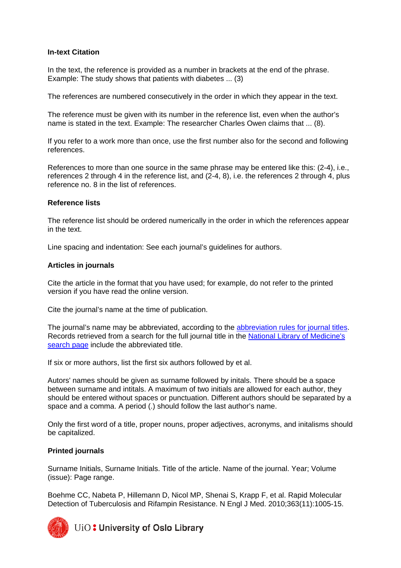# **In-text Citation**

In the text, the reference is provided as a number in brackets at the end of the phrase. Example: The study shows that patients with diabetes ... (3)

The references are numbered consecutively in the order in which they appear in the text.

The reference must be given with its number in the reference list, even when the author's name is stated in the text. Example: The researcher Charles Owen claims that ... (8).

If you refer to a work more than once, use the first number also for the second and following references.

References to more than one source in the same phrase may be entered like this: (2-4), i.e., references 2 through 4 in the reference list, and (2-4, 8), i.e. the references 2 through 4, plus reference no. 8 in the list of references.

## **Reference lists**

The reference list should be ordered numerically in the order in which the references appear in the text.

Line spacing and indentation: See each journal's guidelines for authors.

### **Articles in journals**

Cite the article in the format that you have used; for example, do not refer to the printed version if you have read the online version.

Cite the journal's name at the time of publication.

The journal's name may be abbreviated, according to the [abbreviation rules for journal titles.](http://www.ncbi.nlm.nih.gov/books/NBK7282/box/A33351/?report=objectonly) Records retrieved from a search for the full journal title in the [National Library of Medicine's](http://www.ncbi.nlm.nih.gov/nlmcatalog/journals)  [search page](http://www.ncbi.nlm.nih.gov/nlmcatalog/journals) include the abbreviated title.

If six or more authors, list the first six authors followed by et al.

Autors' names should be given as surname followed by initals. There should be a space between surname and intitals. A maximum of two initials are allowed for each author, they should be entered without spaces or punctuation. Different authors should be separated by a space and a comma. A period (.) should follow the last author's name.

Only the first word of a title, proper nouns, proper adjectives, acronyms, and initalisms should be capitalized.

## **Printed journals**

Surname Initials, Surname Initials. Title of the article. Name of the journal. Year; Volume (issue): Page range.

Boehme CC, Nabeta P, Hillemann D, Nicol MP, Shenai S, Krapp F, et al. Rapid Molecular Detection of Tuberculosis and Rifampin Resistance. N Engl J Med. 2010;363(11):1005-15.



UiO: University of Oslo Library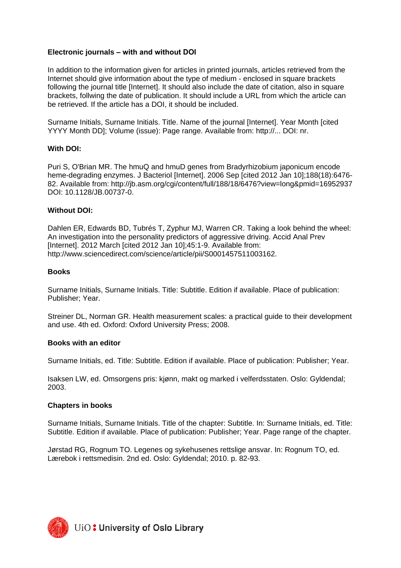# **Electronic journals ‒ with and without DOI**

In addition to the information given for articles in printed journals, articles retrieved from the Internet should give information about the type of medium - enclosed in square brackets following the journal title [Internet]. It should also include the date of citation, also in square brackets, follwing the date of publication. It should include a URL from which the article can be retrieved. If the article has a DOI, it should be included.

Surname Initials, Surname Initials. Title. Name of the journal [Internet]. Year Month [cited YYYY Month DD]; Volume (issue): Page range. Available from: http://... DOI: nr.

## **With DOI:**

Puri S, O'Brian MR. The hmuQ and hmuD genes from Bradyrhizobium japonicum encode heme-degrading enzymes. J Bacteriol [Internet]. 2006 Sep [cited 2012 Jan 10];188(18):6476- 82. Available from: http://jb.asm.org/cgi/content/full/188/18/6476?view=long&pmid=16952937 DOI: 10.1128/JB.00737-0.

### **Without DOI:**

Dahlen ER, Edwards BD, Tubrés T, Zyphur MJ, Warren CR. Taking a look behind the wheel: An investigation into the personality predictors of aggressive driving. Accid Anal Prev [Internet]. 2012 March [cited 2012 Jan 10];45:1-9. Available from: http://www.sciencedirect.com/science/article/pii/S0001457511003162.

#### **Books**

Surname Initials, Surname Initials. Title: Subtitle. Edition if available. Place of publication: Publisher; Year.

Streiner DL, Norman GR. Health measurement scales: a practical guide to their development and use. 4th ed. Oxford: Oxford University Press; 2008.

#### **Books with an editor**

Surname Initials, ed. Title: Subtitle. Edition if available. Place of publication: Publisher; Year.

Isaksen LW, ed. Omsorgens pris: kjønn, makt og marked i velferdsstaten. Oslo: Gyldendal; 2003.

## **Chapters in books**

Surname Initials, Surname Initials. Title of the chapter: Subtitle. In: Surname Initials, ed. Title: Subtitle. Edition if available. Place of publication: Publisher; Year. Page range of the chapter.

Jørstad RG, Rognum TO. Legenes og sykehusenes rettslige ansvar. In: Rognum TO, ed. Lærebok i rettsmedisin. 2nd ed. Oslo: Gyldendal; 2010. p. 82-93.

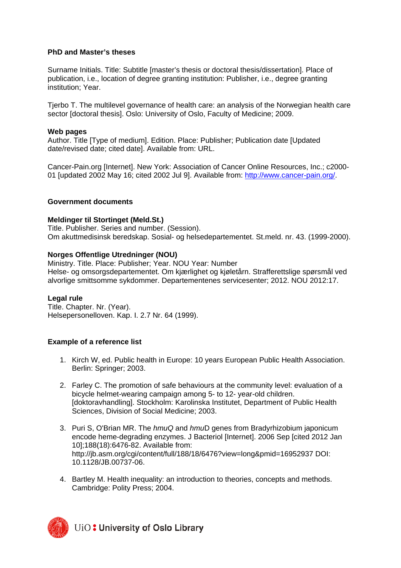# **PhD and Master's theses**

Surname Initials. Title: Subtitle [master's thesis or doctoral thesis/dissertation]. Place of publication, i.e., location of degree granting institution: Publisher, i.e., degree granting institution; Year.

Tjerbo T. The multilevel governance of health care: an analysis of the Norwegian health care sector [doctoral thesis]. Oslo: University of Oslo, Faculty of Medicine; 2009.

## **Web pages**

Author. Title [Type of medium]. Edition. Place: Publisher; Publication date [Updated date/revised date; cited date]. Available from: URL.

Cancer-Pain.org [Internet]. New York: Association of Cancer Online Resources, Inc.; c2000- 01 [updated 2002 May 16; cited 2002 Jul 9]. Available from: [http://www.cancer-pain.org/.](http://www.cancer-pain.org/)

### **Government documents**

### **Meldinger til Stortinget (Meld.St.)**

Title. Publisher. Series and number. (Session). Om akuttmedisinsk beredskap. Sosial- og helsedepartementet. St.meld. nr. 43. (1999-2000).

### **Norges Offentlige Utredninger (NOU)**

Ministry. Title. Place: Publisher; Year. NOU Year: Number Helse- og omsorgsdepartementet. Om kjærlighet og kjøletårn. Strafferettslige spørsmål ved alvorlige smittsomme sykdommer. Departementenes servicesenter; 2012. NOU 2012:17.

#### **Legal rule**

Title. Chapter. Nr. (Year). Helsepersonelloven. Kap. I. 2.7 Nr. 64 (1999).

## **Example of a reference list**

- 1. Kirch W, ed. Public health in Europe: 10 years European Public Health Association. Berlin: Springer; 2003.
- 2. Farley C. The promotion of safe behaviours at the community level: evaluation of a bicycle helmet-wearing campaign among 5- to 12- year-old children. [doktoravhandling]. Stockholm: Karolinska Institutet, Department of Public Health Sciences, Division of Social Medicine; 2003.
- 3. Puri S, O'Brian MR. The *hmuQ* and *hmu*D genes from Bradyrhizobium japonicum encode heme-degrading enzymes. J Bacteriol [Internet]. 2006 Sep [cited 2012 Jan 10];188(18):6476-82. Available from: http://jb.asm.org/cgi/content/full/188/18/6476?view=long&pmid=16952937 DOI: 10.1128/JB.00737-06.
- 4. Bartley M. Health inequality: an introduction to theories, concepts and methods. Cambridge: Polity Press; 2004.